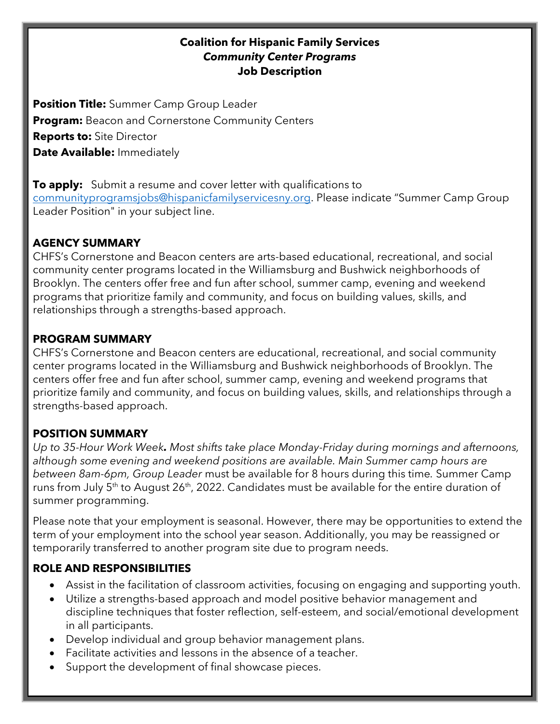#### **Coalition for Hispanic Family Services** *Community Center Programs* **Job Description**

**Position Title:** Summer Camp Group Leader **Program:** Beacon and Cornerstone Community Centers **Reports to:** Site Director **Date Available:** Immediately

**To apply:** Submit a resume and cover letter with qualifications to [communityprogramsjobs@hispanicfamilyservicesny.org.](mailto:communityprogramsjobs@hispanicfamilyservicesny.org) Please indicate "Summer Camp Group Leader Position" in your subject line.

### **AGENCY SUMMARY**

CHFS's Cornerstone and Beacon centers are arts-based educational, recreational, and social community center programs located in the Williamsburg and Bushwick neighborhoods of Brooklyn. The centers offer free and fun after school, summer camp, evening and weekend programs that prioritize family and community, and focus on building values, skills, and relationships through a strengths-based approach.

#### **PROGRAM SUMMARY**

CHFS's Cornerstone and Beacon centers are educational, recreational, and social community center programs located in the Williamsburg and Bushwick neighborhoods of Brooklyn. The centers offer free and fun after school, summer camp, evening and weekend programs that prioritize family and community, and focus on building values, skills, and relationships through a strengths-based approach.

#### **POSITION SUMMARY**

*Up to 35-Hour Work Week. Most shifts take place Monday-Friday during mornings and afternoons, although some evening and weekend positions are available. Main Summer camp hours are between 8am-6pm, Group Leader* must be available for 8 hours during this time*.* Summer Camp runs from July 5<sup>th</sup> to August 26<sup>th</sup>, 2022. Candidates must be available for the entire duration of summer programming.

Please note that your employment is seasonal. However, there may be opportunities to extend the term of your employment into the school year season. Additionally, you may be reassigned or temporarily transferred to another program site due to program needs.

#### **ROLE AND RESPONSIBILITIES**

- Assist in the facilitation of classroom activities, focusing on engaging and supporting youth.
- Utilize a strengths-based approach and model positive behavior management and discipline techniques that foster reflection, self-esteem, and social/emotional development in all participants.
- Develop individual and group behavior management plans.
- Facilitate activities and lessons in the absence of a teacher.
- Support the development of final showcase pieces.